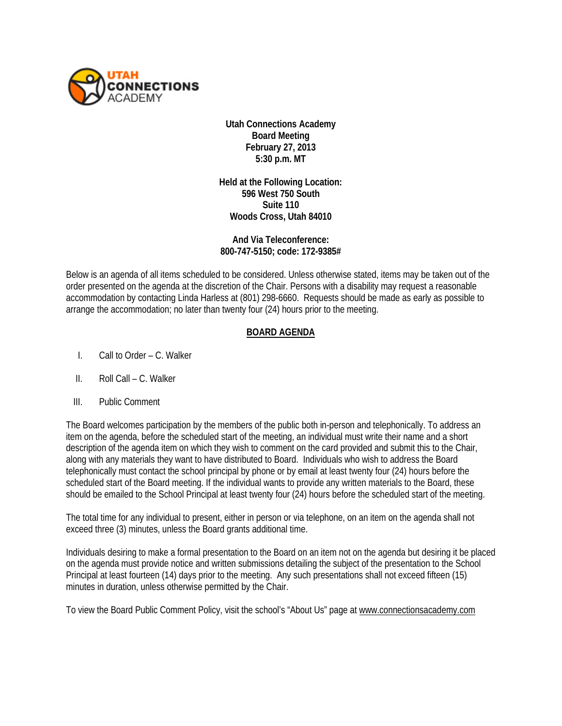

**Utah Connections Academy Board Meeting February 27, 2013 5:30 p.m. MT**

**Held at the Following Location: 596 West 750 South Suite 110 Woods Cross, Utah 84010**

**And Via Teleconference: 800-747-5150; code: 172-9385#** 

Below is an agenda of all items scheduled to be considered. Unless otherwise stated, items may be taken out of the order presented on the agenda at the discretion of the Chair. Persons with a disability may request a reasonable accommodation by contacting Linda Harless at (801) 298-6660. Requests should be made as early as possible to arrange the accommodation; no later than twenty four (24) hours prior to the meeting.

## **BOARD AGENDA**

- I. Call to Order C. Walker
- II. Roll Call C. Walker
- III. Public Comment

The Board welcomes participation by the members of the public both in-person and telephonically. To address an item on the agenda, before the scheduled start of the meeting, an individual must write their name and a short description of the agenda item on which they wish to comment on the card provided and submit this to the Chair, along with any materials they want to have distributed to Board. Individuals who wish to address the Board telephonically must contact the school principal by phone or by email at least twenty four (24) hours before the scheduled start of the Board meeting. If the individual wants to provide any written materials to the Board, these should be emailed to the School Principal at least twenty four (24) hours before the scheduled start of the meeting.

The total time for any individual to present, either in person or via telephone, on an item on the agenda shall not exceed three (3) minutes, unless the Board grants additional time.

Individuals desiring to make a formal presentation to the Board on an item not on the agenda but desiring it be placed on the agenda must provide notice and written submissions detailing the subject of the presentation to the School Principal at least fourteen (14) days prior to the meeting. Any such presentations shall not exceed fifteen (15) minutes in duration, unless otherwise permitted by the Chair.

To view the Board Public Comment Policy, visit the school's "About Us" page at [www.connectionsacademy.com](http://www.connectionsacademy.com/)